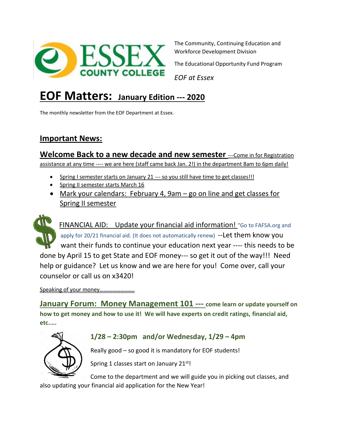

The Community, Continuing Education and Workforce Development Division

The Educational Opportunity Fund Program

*EOF at Essex*

# **EOF Matters: January Edition --- <sup>2020</sup>**

The monthly newsletter from the EOF Department at Essex.

## **Important News:**

**Welcome Back to a new decade and new semester** ---Come in for Registration assistance at any time ---- we are here (staff came back Jan. 2!) in the department 8am to 6pm daily!

- Spring I semester starts on January 21 --- so you still have time to get classes!!!
- Spring II semester starts March 16
- Mark your calendars: February 4, 9am go on line and get classes for Spring II semester



FINANCIAL AID: Update your financial aid information! "Go to FAFSA.org and apply for 20/21 financial aid. (It does not automatically renew) -- Let them know you want their funds to continue your education next year ---- this needs to be done by April 15 to get State and EOF money--- so get it out of the way!!! Need help or guidance? Let us know and we are here for you! Come over, call your counselor or call us on x3420!

Speaking of your money...........................

**January Forum: Money Management 101 --- come learn or update yourself on how to get money and how to use it! We will have experts on credit ratings, financial aid, etc.….**



#### **1/28 – 2:30pm and/or Wednesday, 1/29 – 4pm**

Really good – so good it is mandatory for EOF students!

Spring 1 classes start on January 21<sup>st</sup>!

Come to the department and we will guide you in picking out classes, and

also updating your financial aid application for the New Year!